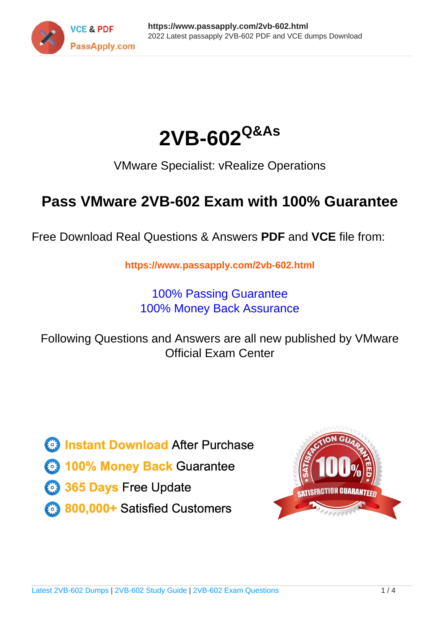



VMware Specialist: vRealize Operations

# **Pass VMware 2VB-602 Exam with 100% Guarantee**

Free Download Real Questions & Answers **PDF** and **VCE** file from:

**https://www.passapply.com/2vb-602.html**

100% Passing Guarantee 100% Money Back Assurance

Following Questions and Answers are all new published by VMware Official Exam Center

**C** Instant Download After Purchase

**83 100% Money Back Guarantee** 

- 365 Days Free Update
- 800,000+ Satisfied Customers

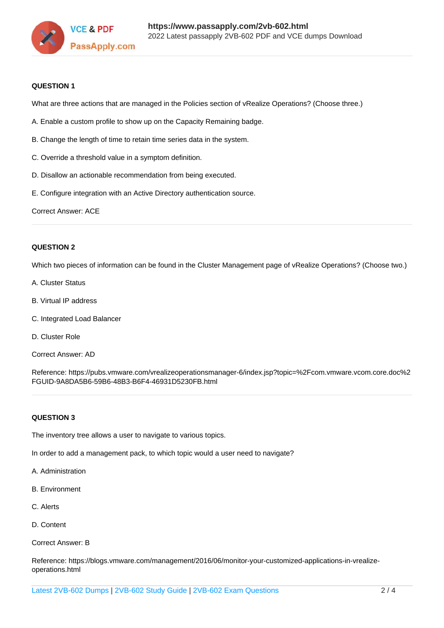

### **QUESTION 1**

What are three actions that are managed in the Policies section of vRealize Operations? (Choose three.)

- A. Enable a custom profile to show up on the Capacity Remaining badge.
- B. Change the length of time to retain time series data in the system.
- C. Override a threshold value in a symptom definition.
- D. Disallow an actionable recommendation from being executed.
- E. Configure integration with an Active Directory authentication source.

Correct Answer: ACE

### **QUESTION 2**

Which two pieces of information can be found in the Cluster Management page of vRealize Operations? (Choose two.)

- A. Cluster Status
- B. Virtual IP address
- C. Integrated Load Balancer
- D. Cluster Role
- Correct Answer: AD

Reference: https://pubs.vmware.com/vrealizeoperationsmanager-6/index.jsp?topic=%2Fcom.vmware.vcom.core.doc%2 FGUID-9A8DA5B6-59B6-48B3-B6F4-46931D5230FB.html

### **QUESTION 3**

The inventory tree allows a user to navigate to various topics.

In order to add a management pack, to which topic would a user need to navigate?

- A. Administration
- B. Environment
- C. Alerts
- D. Content

Correct Answer: B

Reference: https://blogs.vmware.com/management/2016/06/monitor-your-customized-applications-in-vrealizeoperations.html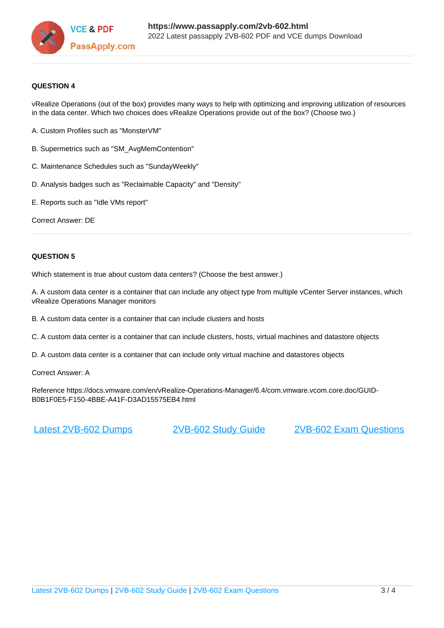

### **QUESTION 4**

vRealize Operations (out of the box) provides many ways to help with optimizing and improving utilization of resources in the data center. Which two choices does vRealize Operations provide out of the box? (Choose two.)

- A. Custom Profiles such as "MonsterVM"
- B. Supermetrics such as "SM\_AvgMemContention"
- C. Maintenance Schedules such as "SundayWeekly"
- D. Analysis badges such as "Reclaimable Capacity" and "Density"
- E. Reports such as "Idle VMs report"

Correct Answer: DE

### **QUESTION 5**

Which statement is true about custom data centers? (Choose the best answer.)

A. A custom data center is a container that can include any object type from multiple vCenter Server instances, which vRealize Operations Manager monitors

B. A custom data center is a container that can include clusters and hosts

C. A custom data center is a container that can include clusters, hosts, virtual machines and datastore objects

D. A custom data center is a container that can include only virtual machine and datastores objects

Correct Answer: A

Reference https://docs.vmware.com/en/vRealize-Operations-Manager/6.4/com.vmware.vcom.core.doc/GUID-B0B1F0E5-F150-4BBE-A41F-D3AD15575EB4.html

[Latest 2VB-602 Dumps](https://www.passapply.com/2vb-602.html) [2VB-602 Study Guide](https://www.passapply.com/2vb-602.html) [2VB-602 Exam Questions](https://www.passapply.com/2vb-602.html)